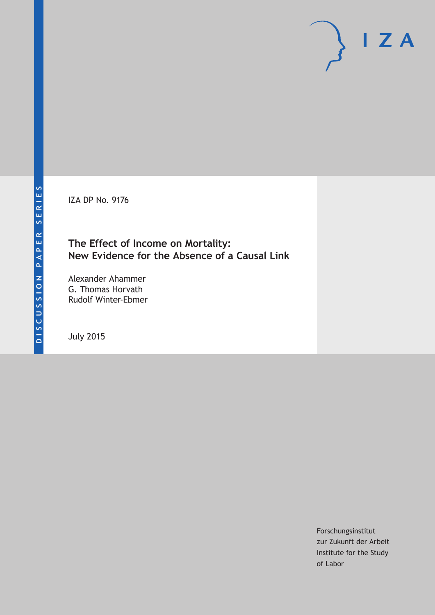IZA DP No. 9176

#### **The Effect of Income on Mortality: New Evidence for the Absence of a Causal Link**

Alexander Ahammer G. Thomas Horvath Rudolf Winter-Ebmer

July 2015

Forschungsinstitut zur Zukunft der Arbeit Institute for the Study of Labor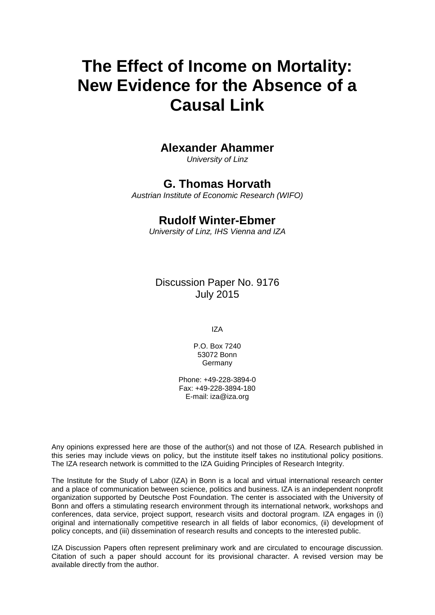# **The Effect of Income on Mortality: New Evidence for the Absence of a Causal Link**

#### **Alexander Ahammer**

*University of Linz*

#### **G. Thomas Horvath**

*Austrian Institute of Economic Research (WIFO)*

#### **Rudolf Winter-Ebmer**

*University of Linz, IHS Vienna and IZA*

Discussion Paper No. 9176 July 2015

IZA

P.O. Box 7240 53072 Bonn **Germany** 

Phone: +49-228-3894-0 Fax: +49-228-3894-180 E-mail: iza@iza.org

Any opinions expressed here are those of the author(s) and not those of IZA. Research published in this series may include views on policy, but the institute itself takes no institutional policy positions. The IZA research network is committed to the IZA Guiding Principles of Research Integrity.

The Institute for the Study of Labor (IZA) in Bonn is a local and virtual international research center and a place of communication between science, politics and business. IZA is an independent nonprofit organization supported by Deutsche Post Foundation. The center is associated with the University of Bonn and offers a stimulating research environment through its international network, workshops and conferences, data service, project support, research visits and doctoral program. IZA engages in (i) original and internationally competitive research in all fields of labor economics, (ii) development of policy concepts, and (iii) dissemination of research results and concepts to the interested public.

<span id="page-1-0"></span>IZA Discussion Papers often represent preliminary work and are circulated to encourage discussion. Citation of such a paper should account for its provisional character. A revised version may be available directly from the author.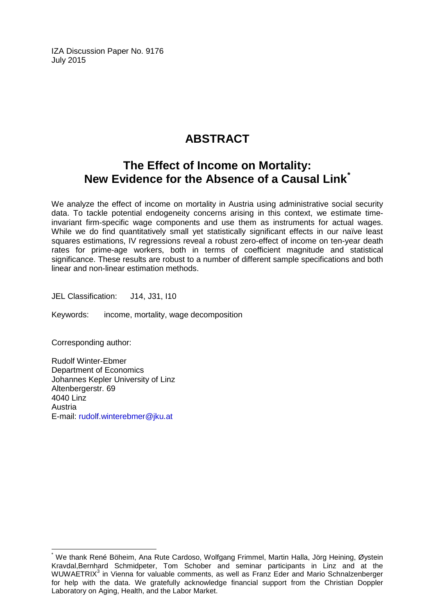IZA Discussion Paper No. 9176 July 2015

### **ABSTRACT**

### **The Effect of Income on Mortality: New Evidence for the Absence of a Causal Link[\\*](#page-1-0)**

We analyze the effect of income on mortality in Austria using administrative social security data. To tackle potential endogeneity concerns arising in this context, we estimate timeinvariant firm-specific wage components and use them as instruments for actual wages. While we do find quantitatively small yet statistically significant effects in our naïve least squares estimations, IV regressions reveal a robust zero-effect of income on ten-year death rates for prime-age workers, both in terms of coefficient magnitude and statistical significance. These results are robust to a number of different sample specifications and both linear and non-linear estimation methods.

JEL Classification: J14, J31, I10

Keywords: income, mortality, wage decomposition

Corresponding author:

Rudolf Winter-Ebmer Department of Economics Johannes Kepler University of Linz Altenbergerstr, 69 4040 Linz Austria E-mail: [rudolf.winterebmer@jku.at](mailto:rudolf.winterebmer@jku.at)

We thank René Böheim, Ana Rute Cardoso, Wolfgang Frimmel, Martin Halla, Jörg Heining, Øystein Kravdal,Bernhard Schmidpeter, Tom Schober and seminar participants in Linz and at the WUWAETRIX<sup>3</sup> in Vienna for valuable comments, as well as Franz Eder and Mario Schnalzenberger for help with the data. We gratefully acknowledge financial support from the Christian Doppler Laboratory on Aging, Health, and the Labor Market.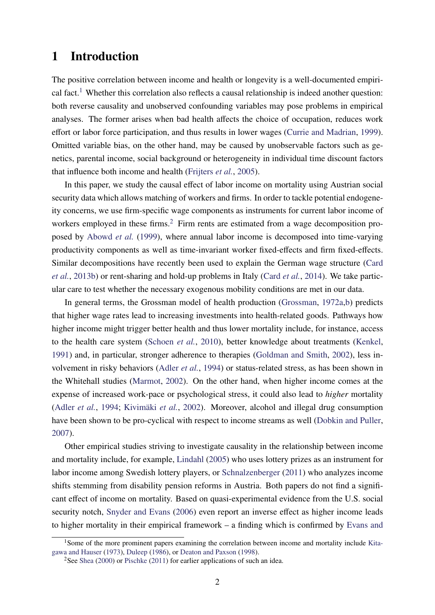#### <span id="page-3-0"></span>1 Introduction

The positive correlation between income and health or longevity is a well-documented empiri-cal fact.<sup>[1](#page--1-0)</sup> Whether this correlation also reflects a causal relationship is indeed another question: both reverse causality and unobserved confounding variables may pose problems in empirical analyses. The former arises when bad health affects the choice of occupation, reduces work effort or labor force participation, and thus results in lower wages [\(Currie and Madrian,](#page-16-0) [1999\)](#page-16-0). Omitted variable bias, on the other hand, may be caused by unobservable factors such as genetics, parental income, social background or heterogeneity in individual time discount factors that influence both income and health [\(Frijters](#page-16-1) *et al.*, [2005\)](#page-16-1).

In this paper, we study the causal effect of labor income on mortality using Austrian social security data which allows matching of workers and firms. In order to tackle potential endogeneity concerns, we use firm-specific wage components as instruments for current labor income of workers employed in these firms.<sup>[2](#page--1-0)</sup> Firm rents are estimated from a wage decomposition proposed by [Abowd](#page-15-0) *et al.* [\(1999\)](#page-15-0), where annual labor income is decomposed into time-varying productivity components as well as time-invariant worker fixed-effects and firm fixed-effects. Similar decompositions have recently been used to explain the German wage structure [\(Card](#page-16-2) *[et al.](#page-16-2)*, [2013b\)](#page-16-2) or rent-sharing and hold-up problems in Italy [\(Card](#page-16-3) *et al.*, [2014\)](#page-16-3). We take particular care to test whether the necessary exogenous mobility conditions are met in our data.

In general terms, the Grossman model of health production [\(Grossman,](#page-16-4) [1972a,](#page-16-4)[b\)](#page-16-5) predicts that higher wage rates lead to increasing investments into health-related goods. Pathways how higher income might trigger better health and thus lower mortality include, for instance, access to the health care system [\(Schoen](#page-17-0) *et al.*, [2010\)](#page-17-0), better knowledge about treatments [\(Kenkel,](#page-16-6) [1991\)](#page-16-6) and, in particular, stronger adherence to therapies [\(Goldman and Smith,](#page-16-7) [2002\)](#page-16-7), less involvement in risky behaviors [\(Adler](#page-15-1) *et al.*, [1994\)](#page-15-1) or status-related stress, as has been shown in the Whitehall studies [\(Marmot,](#page-17-1) [2002\)](#page-17-1). On the other hand, when higher income comes at the expense of increased work-pace or psychological stress, it could also lead to *higher* mortality [\(Adler](#page-15-1) *et al.*, [1994;](#page-15-1) [Kivimäki](#page-16-8) *et al.*, [2002\)](#page-16-8). Moreover, alcohol and illegal drug consumption have been shown to be pro-cyclical with respect to income streams as well [\(Dobkin and Puller,](#page-16-9) [2007\)](#page-16-9).

Other empirical studies striving to investigate causality in the relationship between income and mortality include, for example, [Lindahl](#page-17-2) [\(2005\)](#page-17-2) who uses lottery prizes as an instrument for labor income among Swedish lottery players, or [Schnalzenberger](#page-17-3) [\(2011\)](#page-17-3) who analyzes income shifts stemming from disability pension reforms in Austria. Both papers do not find a significant effect of income on mortality. Based on quasi-experimental evidence from the U.S. social security notch, [Snyder and Evans](#page-17-4) [\(2006\)](#page-17-4) even report an inverse effect as higher income leads to higher mortality in their empirical framework – a finding which is confirmed by [Evans and](#page-16-10)

<sup>&</sup>lt;sup>1</sup>[Some of the more prominent papers examining the correlation between income and mortality include](#page-16-10) [Kita](#page-16-11)[gawa and Hauser](#page-16-11) [\(1973\)](#page-16-11), [Duleep](#page-16-12) [\(1986\)](#page-16-12), or [Deaton and Paxson](#page-16-10) [\(1998\)](#page-16-13).

<sup>&</sup>lt;sup>2</sup>See [Shea](#page-17-5) [\(2000\)](#page-17-5) or [Pischke](#page-17-6) [\(2011\) for earlier applications of such an idea.](#page-16-10)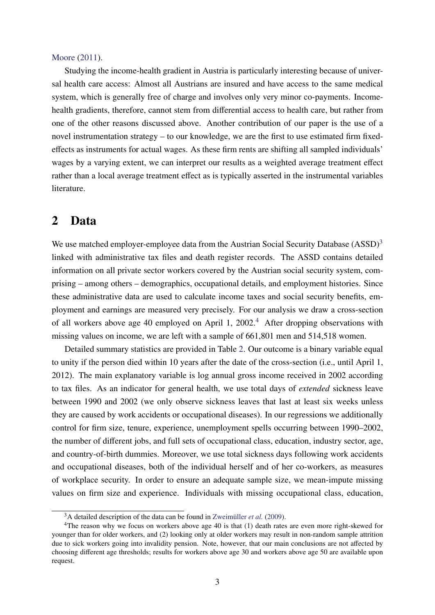#### [Moore](#page-16-10) [\(2011\)](#page-16-10).

Studying the income-health gradient in Austria is particularly interesting because of universal health care access: Almost all Austrians are insured and have access to the same medical system, which is generally free of charge and involves only very minor co-payments. Incomehealth gradients, therefore, cannot stem from differential access to health care, but rather from one of the other reasons discussed above. Another contribution of our paper is the use of a novel instrumentation strategy – to our knowledge, we are the first to use estimated firm fixedeffects as instruments for actual wages. As these firm rents are shifting all sampled individuals' wages by a varying extent, we can interpret our results as a weighted average treatment effect rather than a local average treatment effect as is typically asserted in the instrumental variables literature.

#### 2 Data

We use matched employer-employee data from the Austrian Social Security Database  $(ASSD)<sup>3</sup>$  $(ASSD)<sup>3</sup>$  $(ASSD)<sup>3</sup>$ linked with administrative tax files and death register records. The ASSD contains detailed information on all private sector workers covered by the Austrian social security system, comprising – among others – demographics, occupational details, and employment histories. Since these administrative data are used to calculate income taxes and social security benefits, employment and earnings are measured very precisely. For our analysis we draw a cross-section of all workers above age [4](#page--1-0)0 employed on April 1, 2002.<sup>4</sup> After dropping observations with missing values on income, we are left with a sample of 661,801 men and 514,518 women.

Detailed summary statistics are provided in Table [2.](#page-24-0) Our outcome is a binary variable equal to unity if the person died within 10 years after the date of the cross-section (i.e., until April 1, 2012). The main explanatory variable is log annual gross income received in 2002 according to tax files. As an indicator for general health, we use total days of *extended* sickness leave between 1990 and 2002 (we only observe sickness leaves that last at least six weeks unless they are caused by work accidents or occupational diseases). In our regressions we additionally control for firm size, tenure, experience, unemployment spells occurring between 1990–2002, the number of different jobs, and full sets of occupational class, education, industry sector, age, and country-of-birth dummies. Moreover, we use total sickness days following work accidents and occupational diseases, both of the individual herself and of her co-workers, as measures of workplace security. In order to ensure an adequate sample size, we mean-impute missing values on firm size and experience. Individuals with missing occupational class, education,

<sup>3</sup>A detailed description of the data can be found in [Zweimüller](#page-17-7) *et al.* [\(2009\)](#page-17-7).

<sup>4</sup>The reason why we focus on workers above age 40 is that (1) death rates are even more right-skewed for younger than for older workers, and (2) looking only at older workers may result in non-random sample attrition due to sick workers going into invalidity pension. Note, however, that our main conclusions are not affected by choosing different age thresholds; results for workers above age 30 and workers above age 50 are available upon request.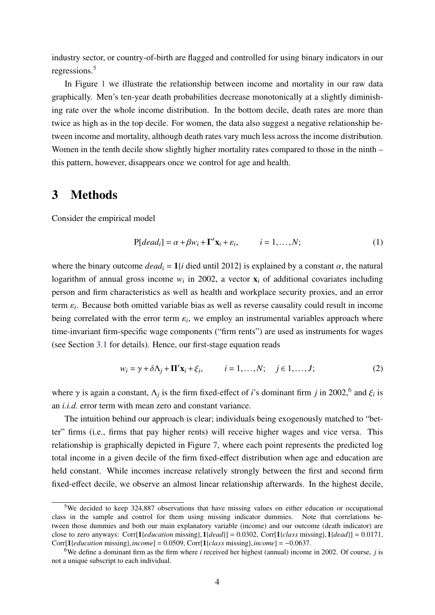industry sector, or country-of-birth are flagged and controlled for using binary indicators in our regressions.[5](#page--1-0)

In Figure [1](#page-18-0) we illustrate the relationship between income and mortality in our raw data graphically. Men's ten-year death probabilities decrease monotonically at a slightly diminishing rate over the whole income distribution. In the bottom decile, death rates are more than twice as high as in the top decile. For women, the data also suggest a negative relationship between income and mortality, although death rates vary much less across the income distribution. Women in the tenth decile show slightly higher mortality rates compared to those in the ninth – this pattern, however, disappears once we control for age and health.

#### <span id="page-5-0"></span>3 Methods

Consider the empirical model

$$
P[dead_i] = \alpha + \beta w_i + \Gamma' \mathbf{x}_i + \varepsilon_i, \qquad i = 1, ..., N; \qquad (1)
$$

where the binary outcome  $dead_i = 1$ {*i* died until 2012} is explained by a constant  $\alpha$ , the natural logarithm of annual gross income  $w_i$  in 2002, a vector  $x_i$  of additional covariates including person and firm characteristics as well as health and workplace security proxies, and an error term <sup>ε</sup>*<sup>i</sup>* . Because both omitted variable bias as well as reverse causality could result in income being correlated with the error term  $\varepsilon_i$ , we employ an instrumental variables approach where time-invariant firm-specific wage components ("firm rents") are used as instruments for wages (see Section [3.1](#page-7-0) for details). Hence, our first-stage equation reads

$$
w_i = \gamma + \delta \Lambda_j + \mathbf{\Pi}' \mathbf{x}_i + \xi_i, \qquad i = 1, \dots, N; \quad j \in 1, \dots, J; \tag{2}
$$

where  $\gamma$  is again a constant,  $\Lambda_j$  is the firm fixed-effect of *i*'s dominant firm *j* in 2002,<sup>[6](#page--1-0)</sup> and  $\xi_i$  is an *i.i.d.* error term with mean zero and constant variance.

The intuition behind our approach is clear; individuals being exogenously matched to "better" firms (i.e., firms that pay higher rents) will receive higher wages and vice versa. This relationship is graphically depicted in Figure [7,](#page-22-0) where each point represents the predicted log total income in a given decile of the firm fixed-effect distribution when age and education are held constant. While incomes increase relatively strongly between the first and second firm fixed-effect decile, we observe an almost linear relationship afterwards. In the highest decile,

<sup>5</sup>We decided to keep 324,887 observations that have missing values on either education or occupational class in the sample and control for them using missing indicator dummies. Note that correlations between those dummies and both our main explanatory variable (income) and our outcome (death indicator) are close to zero anyways: Corr[1*{education* missing},1*{dead}*] = 0.0302, Corr[1*{class* missing},1*{dead}*] = 0.0171, Corr[1{*education* missing},*income*] <sup>=</sup> <sup>0</sup>.0509, Corr[1{*class* missing},*income*] <sup>=</sup> <sup>−</sup>0.0637.

<sup>6</sup>We define a dominant firm as the firm where *i* received her highest (annual) income in 2002. Of course, *j* is not a unique subscript to each individual.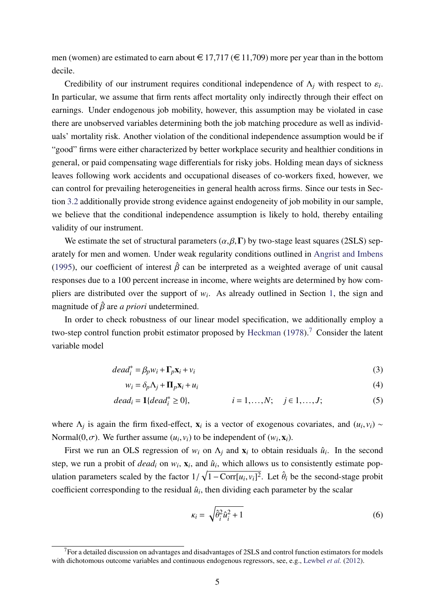men (women) are estimated to earn about  $\in$  17,717 ( $\in$  11,709) more per year than in the bottom decile.

Credibility of our instrument requires conditional independence of  $\Lambda_j$  with respect to  $\varepsilon_i$ . In particular, we assume that firm rents affect mortality only indirectly through their effect on earnings. Under endogenous job mobility, however, this assumption may be violated in case there are unobserved variables determining both the job matching procedure as well as individuals' mortality risk. Another violation of the conditional independence assumption would be if "good" firms were either characterized by better workplace security and healthier conditions in general, or paid compensating wage differentials for risky jobs. Holding mean days of sickness leaves following work accidents and occupational diseases of co-workers fixed, however, we can control for prevailing heterogeneities in general health across firms. Since our tests in Section [3.2](#page-9-0) additionally provide strong evidence against endogeneity of job mobility in our sample, we believe that the conditional independence assumption is likely to hold, thereby entailing validity of our instrument.

We estimate the set of structural parameters  $(\alpha, \beta, \Gamma)$  by two-stage least squares (2SLS) separately for men and women. Under weak regularity conditions outlined in [Angrist and Imbens](#page-15-2) [\(1995\)](#page-15-2), our coefficient of interest  $\hat{\beta}$  can be interpreted as a weighted average of unit causal responses due to a 100 percent increase in income, where weights are determined by how compliers are distributed over the support of  $w_i$ . As already outlined in Section [1,](#page-3-0) the sign and magnitude of  $\hat{\beta}$  are *a priori* undetermined.

In order to check robustness of our linear model specification, we additionally employ a two-step control function probit estimator proposed by [Heckman](#page-16-14) [\(1978\)](#page-16-14).<sup>[7](#page--1-0)</sup> Consider the latent variable model

$$
dead_i^* = \beta_p w_i + \Gamma_p \mathbf{x}_i + v_i \tag{3}
$$

$$
w_i = \delta_p \Lambda_j + \Pi_p \mathbf{x}_i + u_i \tag{4}
$$

$$
dead_i = 1\{dead_i^* \ge 0\}, \qquad i = 1, ..., N; \quad j \in 1, ..., J; \qquad (5)
$$

where  $\Lambda_j$  is again the firm fixed-effect,  $\mathbf{x}_i$  is a vector of exogenous covariates, and  $(u_i, v_i) \sim$ Normal $(0, \sigma)$ . We further assume  $(u_i, v_i)$  to be independent of  $(w_i, \mathbf{x}_i)$ .

First we run an OLS regression of  $w_i$  on  $\Lambda_j$  and  $x_i$  to obtain residuals  $\hat{u}_i$ . In the second step, we run a probit of *dead<sub>i</sub>* on  $w_i$ ,  $x_i$ , and  $\hat{u}_i$ , which allows us to consistently estimate population parameters scaled by the factor  $1/\sqrt{1-\text{Corr}[u_i, v_i]^2}$ . Let  $\hat{\theta}_i$  be the second-stage probit coefficient corresponding to the residual  $\hat{u}_i$ , then dividing each parameter by the scalar

<span id="page-6-0"></span>
$$
\kappa_i = \sqrt{\hat{\theta}_i^2 \hat{u}_i^2 + 1} \tag{6}
$$

<sup>&</sup>lt;sup>7</sup>For a detailed discussion on advantages and disadvantages of 2SLS and control function estimators for models with dichotomous outcome variables and continuous endogenous regressors, see, e.g., [Lewbel](#page-17-8) *et al.* [\(2012\)](#page-17-8).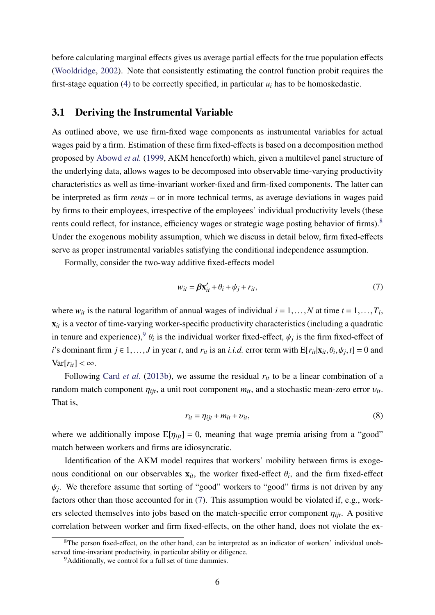before calculating marginal effects gives us average partial effects for the true population effects [\(Wooldridge,](#page-17-9) [2002\)](#page-17-9). Note that consistently estimating the control function probit requires the first-stage equation [\(4\)](#page-6-0) to be correctly specified, in particular  $u_i$  has to be homoskedastic.

#### <span id="page-7-0"></span>3.1 Deriving the Instrumental Variable

As outlined above, we use firm-fixed wage components as instrumental variables for actual wages paid by a firm. Estimation of these firm fixed-effects is based on a decomposition method proposed by [Abowd](#page-15-0) *et al.* [\(1999,](#page-15-0) AKM henceforth) which, given a multilevel panel structure of the underlying data, allows wages to be decomposed into observable time-varying productivity characteristics as well as time-invariant worker-fixed and firm-fixed components. The latter can be interpreted as firm *rents* – or in more technical terms, as average deviations in wages paid by firms to their employees, irrespective of the employees' individual productivity levels (these rents could reflect, for instance, efficiency wages or strategic wage posting behavior of firms).<sup>[8](#page--1-0)</sup> Under the exogenous mobility assumption, which we discuss in detail below, firm fixed-effects serve as proper instrumental variables satisfying the conditional independence assumption.

Formally, consider the two-way additive fixed-effects model

<span id="page-7-1"></span>
$$
w_{it} = \beta \mathbf{x}'_{it} + \theta_i + \psi_j + r_{it},\tag{7}
$$

where  $w_{it}$  is the natural logarithm of annual wages of individual  $i = 1, ..., N$  at time  $t = 1, ..., T_i$ ,  $x_{it}$  is a vector of time-varying worker-specific productivity characteristics (including a quadratic in tenure and experience),<sup>[9](#page--1-0)</sup>  $\theta_i$  is the individual worker fixed-effect,  $\psi_j$  is the firm fixed-effect of *i*'s dominant firm  $j \in 1, ..., J$  in year *t*, and  $r_{it}$  is an *i.i.d.* error term with  $E[r_{it}|\mathbf{x}_{it}, \theta_i, \psi_j, t] = 0$  and  $Var[r_{it}] < \infty$ .

Following Card *[et al.](#page-16-2)* [\(2013b\)](#page-16-2), we assume the residual  $r_{it}$  to be a linear combination of a random match component  $\eta_{ijt}$ , a unit root component  $m_{it}$ , and a stochastic mean-zero error  $v_{it}$ . That is,

$$
r_{it} = \eta_{ijt} + m_{it} + \upsilon_{it},\tag{8}
$$

where we additionally impose  $E[\eta_{ijt}] = 0$ , meaning that wage premia arising from a "good" match between workers and firms are idiosyncratic.

Identification of the AKM model requires that workers' mobility between firms is exogenous conditional on our observables  $\mathbf{x}_{it}$ , the worker fixed-effect  $\theta_i$ , and the firm fixed-effect  $\psi_j$ . We therefore assume that sorting of "good" workers to "good" firms is not driven by any factors other than those accounted for in [\(7\)](#page-7-1). This assumption would be violated if, e.g., workers selected themselves into jobs based on the match-specific error component  $\eta_{ijt}$ . A positive correlation between worker and firm fixed-effects, on the other hand, does not violate the ex-

<sup>&</sup>lt;sup>8</sup>The person fixed-effect, on the other hand, can be interpreted as an indicator of workers' individual unobserved time-invariant productivity, in particular ability or diligence.

<sup>&</sup>lt;sup>9</sup>Additionally, we control for a full set of time dummies.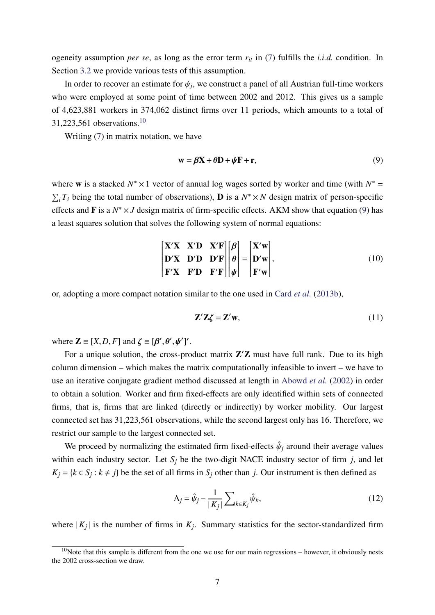ogeneity assumption *per se*, as long as the error term *rit* in [\(7\)](#page-7-1) fulfills the *i.i.d.* condition. In Section [3.2](#page-9-0) we provide various tests of this assumption.

In order to recover an estimate for  $\psi_j$ , we construct a panel of all Austrian full-time workers who were employed at some point of time between 2002 and 2012. This gives us a sample of 4,623,881 workers in 374,062 distinct firms over 11 periods, which amounts to a total of 31,223,561 observations.[10](#page--1-0)

Writing [\(7\)](#page-7-1) in matrix notation, we have

<span id="page-8-0"></span>
$$
\mathbf{w} = \boldsymbol{\beta} \mathbf{X} + \boldsymbol{\theta} \mathbf{D} + \boldsymbol{\psi} \mathbf{F} + \mathbf{r},\tag{9}
$$

where **w** is a stacked  $N^* \times 1$  vector of annual log wages sorted by worker and time (with  $N^* =$  $\sum_i T_i$  being the total number of observations), **D** is a  $N^* \times N$  design matrix of person-specific effects and **F** is a  $N^* \times J$  design matrix of firm-specific effects. AKM show that equation [\(9\)](#page-8-0) has a least squares solution that solves the following system of normal equations:

$$
\begin{bmatrix}\nX'X & X'D & X'F \\
D'X & D'D & D'F \\
F'X & F'D & F'F\n\end{bmatrix}\n\begin{bmatrix}\n\beta \\
\theta \\
\psi\n\end{bmatrix} =\n\begin{bmatrix}\nX'w \\
D'w \\
F'w\n\end{bmatrix},
$$
\n(10)

or, adopting a more compact notation similar to the one used in Card *[et al.](#page-16-2)* [\(2013b\)](#page-16-2),

$$
\mathbf{Z}'\mathbf{Z}\boldsymbol{\zeta} = \mathbf{Z}'\mathbf{w},\tag{11}
$$

where  $\mathbf{Z} \equiv [X, D, F]$  and  $\zeta \equiv [\beta', \theta', \psi']'$ .  $\frac{1}{\sqrt{2}}$ 

For a unique solution, the cross-product matrix  $Z'Z$  must have full rank. Due to its high column dimension – which makes the matrix computationally infeasible to invert – we have to use an iterative conjugate gradient method discussed at length in [Abowd](#page-15-3) *et al.* [\(2002\)](#page-15-3) in order to obtain a solution. Worker and firm fixed-effects are only identified within sets of connected firms, that is, firms that are linked (directly or indirectly) by worker mobility. Our largest connected set has 31,223,561 observations, while the second largest only has 16. Therefore, we restrict our sample to the largest connected set.

We proceed by normalizing the estimated firm fixed-effects  $\hat{\psi}_j$  around their average values within each industry sector. Let  $S_i$  be the two-digit NACE industry sector of firm *j*, and let  $K_j = \{k \in S_j : k \neq j\}$  be the set of all firms in  $S_j$  other than *j*. Our instrument is then defined as

$$
\Lambda_j = \hat{\psi}_j - \frac{1}{|K_j|} \sum_{k \in K_j} \hat{\psi}_k,\tag{12}
$$

where  $|K_j|$  is the number of firms in  $K_j$ . Summary statistics for the sector-standardized firm

 $10$ Note that this sample is different from the one we use for our main regressions – however, it obviously nests the 2002 cross-section we draw.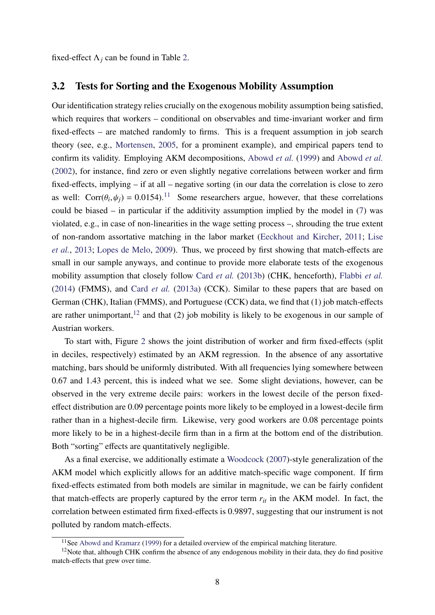fixed-effect  $\Lambda_i$  can be found in Table [2.](#page-24-0)

#### <span id="page-9-0"></span>3.2 Tests for Sorting and the Exogenous Mobility Assumption

Our identification strategy relies crucially on the exogenous mobility assumption being satisfied, which requires that workers – conditional on observables and time-invariant worker and firm fixed-effects – are matched randomly to firms. This is a frequent assumption in job search theory (see, e.g., [Mortensen,](#page-17-10) [2005,](#page-17-10) for a prominent example), and empirical papers tend to confirm its validity. Employing AKM decompositions, [Abowd](#page-15-0) *et al.* [\(1999\)](#page-15-0) and [Abowd](#page-15-3) *et al.* [\(2002\)](#page-15-3), for instance, find zero or even slightly negative correlations between worker and firm fixed-effects, implying – if at all – negative sorting (in our data the correlation is close to zero as well:  $Corr(\theta_i, \psi_j) = 0.0154$ .<sup>[11](#page--1-0)</sup> Some researchers argue, however, that these correlations could be biased – in particular if the additivity assumption implied by the model in [\(7\)](#page-7-1) was violated, e.g., in case of non-linearities in the wage setting process –, shrouding the true extent of non-random assortative matching in the labor market [\(Eeckhout and Kircher,](#page-16-15) [2011;](#page-16-15) [Lise](#page-17-11) *[et al.](#page-17-11)*, [2013;](#page-17-11) [Lopes de Melo,](#page-17-12) [2009\)](#page-17-12). Thus, we proceed by first showing that match-effects are small in our sample anyways, and continue to provide more elaborate tests of the exogenous mobility assumption that closely follow Card *[et al.](#page-16-2)* [\(2013b\)](#page-16-2) (CHK, henceforth), [Flabbi](#page-16-16) *et al.* [\(2014\)](#page-16-16) (FMMS), and Card *[et al.](#page-15-4)* [\(2013a\)](#page-15-4) (CCK). Similar to these papers that are based on German (CHK), Italian (FMMS), and Portuguese (CCK) data, we find that (1) job match-effects are rather unimportant,<sup>[12](#page--1-0)</sup> and that (2) job mobility is likely to be exogenous in our sample of Austrian workers.

To start with, Figure [2](#page-19-0) shows the joint distribution of worker and firm fixed-effects (split in deciles, respectively) estimated by an AKM regression. In the absence of any assortative matching, bars should be uniformly distributed. With all frequencies lying somewhere between 0.67 and 1.43 percent, this is indeed what we see. Some slight deviations, however, can be observed in the very extreme decile pairs: workers in the lowest decile of the person fixedeffect distribution are 0.09 percentage points more likely to be employed in a lowest-decile firm rather than in a highest-decile firm. Likewise, very good workers are 0.08 percentage points more likely to be in a highest-decile firm than in a firm at the bottom end of the distribution. Both "sorting" effects are quantitatively negligible.

As a final exercise, we additionally estimate a [Woodcock](#page-17-13) [\(2007\)](#page-17-13)-style generalization of the AKM model which explicitly allows for an additive match-specific wage component. If firm fixed-effects estimated from both models are similar in magnitude, we can be fairly confident that match-effects are properly captured by the error term  $r_{it}$  in the AKM model. In fact, the correlation between estimated firm fixed-effects is 0.9897, suggesting that our instrument is not polluted by random match-effects.

<sup>&</sup>lt;sup>11</sup>See [Abowd and Kramarz](#page-15-5) [\(1999\)](#page-15-5) for a detailed overview of the empirical matching literature.

 $12$ Note that, although CHK confirm the absence of any endogenous mobility in their data, they do find positive match-effects that grew over time.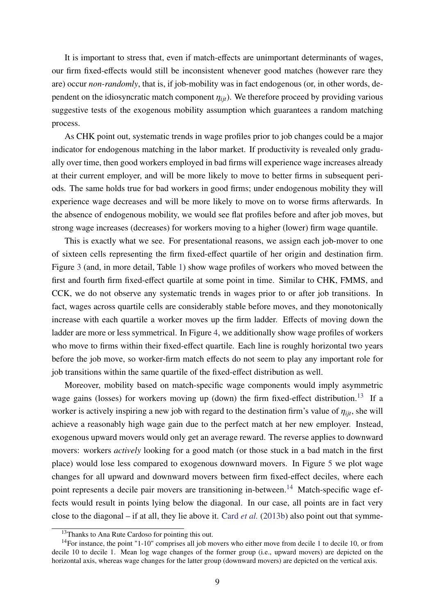It is important to stress that, even if match-effects are unimportant determinants of wages, our firm fixed-effects would still be inconsistent whenever good matches (however rare they are) occur *non-randomly*, that is, if job-mobility was in fact endogenous (or, in other words, dependent on the idiosyncratic match component  $\eta_{ijt}$ ). We therefore proceed by providing various suggestive tests of the exogenous mobility assumption which guarantees a random matching process.

As CHK point out, systematic trends in wage profiles prior to job changes could be a major indicator for endogenous matching in the labor market. If productivity is revealed only gradually over time, then good workers employed in bad firms will experience wage increases already at their current employer, and will be more likely to move to better firms in subsequent periods. The same holds true for bad workers in good firms; under endogenous mobility they will experience wage decreases and will be more likely to move on to worse firms afterwards. In the absence of endogenous mobility, we would see flat profiles before and after job moves, but strong wage increases (decreases) for workers moving to a higher (lower) firm wage quantile.

This is exactly what we see. For presentational reasons, we assign each job-mover to one of sixteen cells representing the firm fixed-effect quartile of her origin and destination firm. Figure [3](#page-19-1) (and, in more detail, Table [1\)](#page-23-0) show wage profiles of workers who moved between the first and fourth firm fixed-effect quartile at some point in time. Similar to CHK, FMMS, and CCK, we do not observe any systematic trends in wages prior to or after job transitions. In fact, wages across quartile cells are considerably stable before moves, and they monotonically increase with each quartile a worker moves up the firm ladder. Effects of moving down the ladder are more or less symmetrical. In Figure [4,](#page-20-0) we additionally show wage profiles of workers who move to firms within their fixed-effect quartile. Each line is roughly horizontal two years before the job move, so worker-firm match effects do not seem to play any important role for job transitions within the same quartile of the fixed-effect distribution as well.

Moreover, mobility based on match-specific wage components would imply asymmetric wage gains (losses) for workers moving up (down) the firm fixed-effect distribution.<sup>[13](#page--1-0)</sup> If a worker is actively inspiring a new job with regard to the destination firm's value of  $\eta_{ijt}$ , she will achieve a reasonably high wage gain due to the perfect match at her new employer. Instead, exogenous upward movers would only get an average reward. The reverse applies to downward movers: workers *actively* looking for a good match (or those stuck in a bad match in the first place) would lose less compared to exogenous downward movers. In Figure [5](#page-21-0) we plot wage changes for all upward and downward movers between firm fixed-effect deciles, where each point represents a decile pair movers are transitioning in-between.<sup>[14](#page--1-0)</sup> Match-specific wage effects would result in points lying below the diagonal. In our case, all points are in fact very close to the diagonal – if at all, they lie above it. Card *[et al.](#page-16-2)* [\(2013b\)](#page-16-2) also point out that symme-

<sup>&</sup>lt;sup>13</sup>Thanks to Ana Rute Cardoso for pointing this out.

<sup>&</sup>lt;sup>14</sup>For instance, the point "1-10" comprises all job movers who either move from decile 1 to decile 10, or from decile 10 to decile 1. Mean log wage changes of the former group (i.e., upward movers) are depicted on the horizontal axis, whereas wage changes for the latter group (downward movers) are depicted on the vertical axis.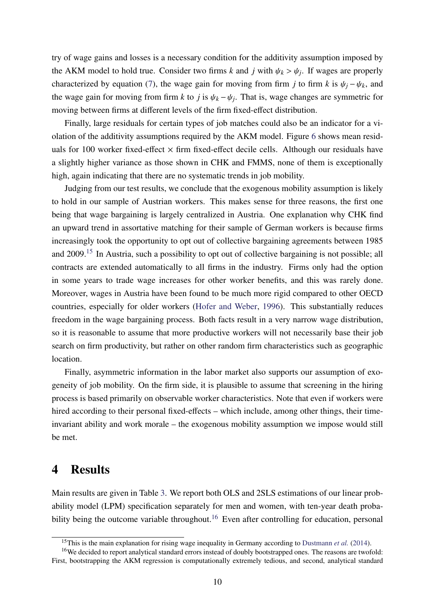try of wage gains and losses is a necessary condition for the additivity assumption imposed by the AKM model to hold true. Consider two firms *k* and *j* with  $\psi_k > \psi_j$ . If wages are properly characterized by equation [\(7\)](#page-7-1), the wage gain for moving from firm *j* to firm *k* is  $\psi_j - \psi_k$ , and the wage gain for moving from firm *k* to *j* is  $\psi_k - \psi_j$ . That is, wage changes are symmetric for moving between firms at different levels of the firm fixed-effect distribution.

Finally, large residuals for certain types of job matches could also be an indicator for a violation of the additivity assumptions required by the AKM model. Figure [6](#page-22-1) shows mean residuals for 100 worker fixed-effect  $\times$  firm fixed-effect decile cells. Although our residuals have a slightly higher variance as those shown in CHK and FMMS, none of them is exceptionally high, again indicating that there are no systematic trends in job mobility.

Judging from our test results, we conclude that the exogenous mobility assumption is likely to hold in our sample of Austrian workers. This makes sense for three reasons, the first one being that wage bargaining is largely centralized in Austria. One explanation why CHK find an upward trend in assortative matching for their sample of German workers is because firms increasingly took the opportunity to opt out of collective bargaining agreements between 1985 and 2009.[15](#page--1-0) In Austria, such a possibility to opt out of collective bargaining is not possible; all contracts are extended automatically to all firms in the industry. Firms only had the option in some years to trade wage increases for other worker benefits, and this was rarely done. Moreover, wages in Austria have been found to be much more rigid compared to other OECD countries, especially for older workers [\(Hofer and Weber,](#page-16-17) [1996\)](#page-16-17). This substantially reduces freedom in the wage bargaining process. Both facts result in a very narrow wage distribution, so it is reasonable to assume that more productive workers will not necessarily base their job search on firm productivity, but rather on other random firm characteristics such as geographic location.

Finally, asymmetric information in the labor market also supports our assumption of exogeneity of job mobility. On the firm side, it is plausible to assume that screening in the hiring process is based primarily on observable worker characteristics. Note that even if workers were hired according to their personal fixed-effects – which include, among other things, their timeinvariant ability and work morale – the exogenous mobility assumption we impose would still be met.

#### <span id="page-11-0"></span>4 Results

Main results are given in Table [3.](#page-25-0) We report both OLS and 2SLS estimations of our linear probability model (LPM) specification separately for men and women, with ten-year death proba-bility being the outcome variable throughout.<sup>[16](#page--1-0)</sup> Even after controlling for education, personal

<sup>&</sup>lt;sup>15</sup>This is the main explanation for rising wage inequality in Germany according to [Dustmann](#page-16-18) *et al.* [\(2014\)](#page-16-18).

<sup>&</sup>lt;sup>16</sup>We decided to report analytical standard errors instead of doubly bootstrapped ones. The reasons are twofold: First, bootstrapping the AKM regression is computationally extremely tedious, and second, analytical standard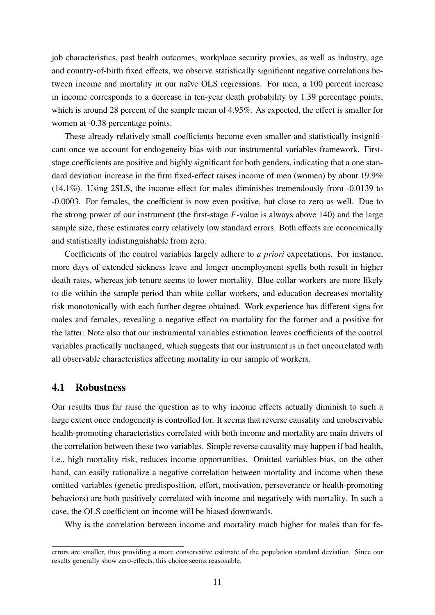job characteristics, past health outcomes, workplace security proxies, as well as industry, age and country-of-birth fixed effects, we observe statistically significant negative correlations between income and mortality in our naïve OLS regressions. For men, a 100 percent increase in income corresponds to a decrease in ten-year death probability by 1.39 percentage points, which is around 28 percent of the sample mean of 4.95%. As expected, the effect is smaller for women at -0.38 percentage points.

These already relatively small coefficients become even smaller and statistically insignificant once we account for endogeneity bias with our instrumental variables framework. Firststage coefficients are positive and highly significant for both genders, indicating that a one standard deviation increase in the firm fixed-effect raises income of men (women) by about 19.9% (14.1%). Using 2SLS, the income effect for males diminishes tremendously from -0.0139 to -0.0003. For females, the coefficient is now even positive, but close to zero as well. Due to the strong power of our instrument (the first-stage *F*-value is always above 140) and the large sample size, these estimates carry relatively low standard errors. Both effects are economically and statistically indistinguishable from zero.

Coefficients of the control variables largely adhere to *a priori* expectations. For instance, more days of extended sickness leave and longer unemployment spells both result in higher death rates, whereas job tenure seems to lower mortality. Blue collar workers are more likely to die within the sample period than white collar workers, and education decreases mortality risk monotonically with each further degree obtained. Work experience has different signs for males and females, revealing a negative effect on mortality for the former and a positive for the latter. Note also that our instrumental variables estimation leaves coefficients of the control variables practically unchanged, which suggests that our instrument is in fact uncorrelated with all observable characteristics affecting mortality in our sample of workers.

#### 4.1 Robustness

Our results thus far raise the question as to why income effects actually diminish to such a large extent once endogeneity is controlled for. It seems that reverse causality and unobservable health-promoting characteristics correlated with both income and mortality are main drivers of the correlation between these two variables. Simple reverse causality may happen if bad health, i.e., high mortality risk, reduces income opportunities. Omitted variables bias, on the other hand, can easily rationalize a negative correlation between mortality and income when these omitted variables (genetic predisposition, effort, motivation, perseverance or health-promoting behaviors) are both positively correlated with income and negatively with mortality. In such a case, the OLS coefficient on income will be biased downwards.

Why is the correlation between income and mortality much higher for males than for fe-

errors are smaller, thus providing a more conservative estimate of the population standard deviation. Since our results generally show zero-effects, this choice seems reasonable.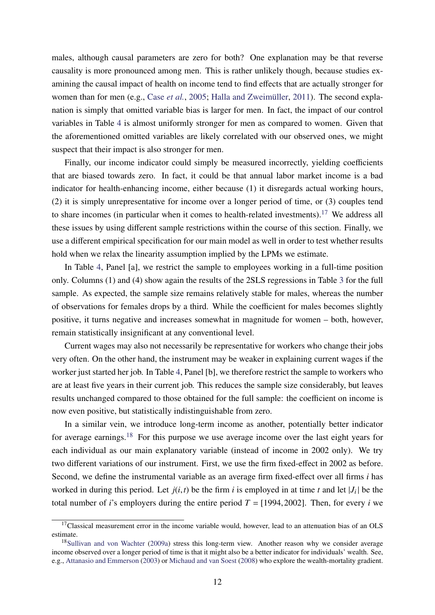males, although causal parameters are zero for both? One explanation may be that reverse causality is more pronounced among men. This is rather unlikely though, because studies examining the causal impact of health on income tend to find effects that are actually stronger for women than for men (e.g., Case *[et al.](#page-16-19)*, [2005;](#page-16-19) [Halla and Zweimüller,](#page-16-20) [2011\)](#page-16-20). The second explanation is simply that omitted variable bias is larger for men. In fact, the impact of our control variables in Table [4](#page-11-0) is almost uniformly stronger for men as compared to women. Given that the aforementioned omitted variables are likely correlated with our observed ones, we might suspect that their impact is also stronger for men.

Finally, our income indicator could simply be measured incorrectly, yielding coefficients that are biased towards zero. In fact, it could be that annual labor market income is a bad indicator for health-enhancing income, either because (1) it disregards actual working hours, (2) it is simply unrepresentative for income over a longer period of time, or (3) couples tend to share incomes (in particular when it comes to health-related investments).<sup>[17](#page--1-0)</sup> We address all these issues by using different sample restrictions within the course of this section. Finally, we use a different empirical specification for our main model as well in order to test whether results hold when we relax the linearity assumption implied by the LPMs we estimate.

In Table [4,](#page-26-0) Panel [a], we restrict the sample to employees working in a full-time position only. Columns (1) and (4) show again the results of the 2SLS regressions in Table [3](#page-25-0) for the full sample. As expected, the sample size remains relatively stable for males, whereas the number of observations for females drops by a third. While the coefficient for males becomes slightly positive, it turns negative and increases somewhat in magnitude for women – both, however, remain statistically insignificant at any conventional level.

Current wages may also not necessarily be representative for workers who change their jobs very often. On the other hand, the instrument may be weaker in explaining current wages if the worker just started her job. In Table [4,](#page-26-0) Panel [b], we therefore restrict the sample to workers who are at least five years in their current job. This reduces the sample size considerably, but leaves results unchanged compared to those obtained for the full sample: the coefficient on income is now even positive, but statistically indistinguishable from zero.

In a similar vein, we introduce long-term income as another, potentially better indicator for average earnings.<sup>[18](#page--1-0)</sup> For this purpose we use average income over the last eight years for each individual as our main explanatory variable (instead of income in 2002 only). We try two different variations of our instrument. First, we use the firm fixed-effect in 2002 as before. Second, we define the instrumental variable as an average firm fixed-effect over all firms *i* has worked in during this period. Let  $j(i, t)$  be the firm *i* is employed in at time *t* and let  $|J_i|$  be the total number of *i*'s employers during the entire period  $T = [1994, 2002]$ . Then, for every *i* we

 $17$ Classical measurement error in the income variable would, however, lead to an attenuation bias of an OLS estimate.

<sup>18</sup>[Sullivan and von Wachter](#page-17-14) [\(2009a\)](#page-17-14) stress this long-term view. Another reason why we consider average income observed over a longer period of time is that it might also be a better indicator for individuals' wealth. See, e.g., [Attanasio and Emmerson](#page-15-6) [\(2003\)](#page-15-6) or [Michaud and van Soest](#page-17-15) [\(2008\)](#page-17-15) who explore the wealth-mortality gradient.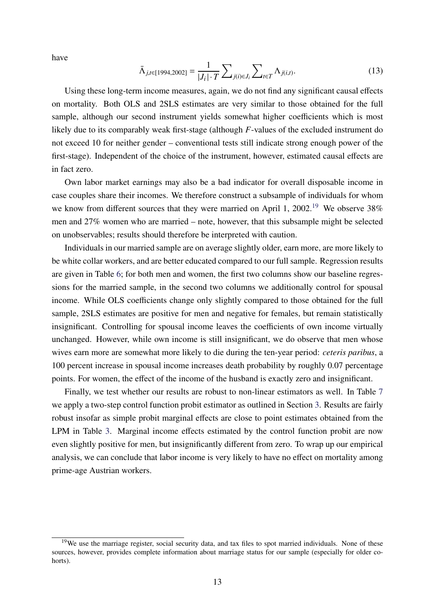have

$$
\bar{\Lambda}_{j,t\in[1994,2002]} = \frac{1}{|J_i| \cdot T} \sum_{j(i)\in J_i} \sum_{t\in T} \Lambda_{j(i,t)}.
$$
\n(13)

Using these long-term income measures, again, we do not find any significant causal effects on mortality. Both OLS and 2SLS estimates are very similar to those obtained for the full sample, although our second instrument yields somewhat higher coefficients which is most likely due to its comparably weak first-stage (although *F*-values of the excluded instrument do not exceed 10 for neither gender – conventional tests still indicate strong enough power of the first-stage). Independent of the choice of the instrument, however, estimated causal effects are in fact zero.

Own labor market earnings may also be a bad indicator for overall disposable income in case couples share their incomes. We therefore construct a subsample of individuals for whom we know from different sources that they were married on April 1,  $2002$ <sup>[19](#page--1-0)</sup> We observe 38% men and 27% women who are married – note, however, that this subsample might be selected on unobservables; results should therefore be interpreted with caution.

Individuals in our married sample are on average slightly older, earn more, are more likely to be white collar workers, and are better educated compared to our full sample. Regression results are given in Table [6;](#page-28-0) for both men and women, the first two columns show our baseline regressions for the married sample, in the second two columns we additionally control for spousal income. While OLS coefficients change only slightly compared to those obtained for the full sample, 2SLS estimates are positive for men and negative for females, but remain statistically insignificant. Controlling for spousal income leaves the coefficients of own income virtually unchanged. However, while own income is still insignificant, we do observe that men whose wives earn more are somewhat more likely to die during the ten-year period: *ceteris paribus*, a 100 percent increase in spousal income increases death probability by roughly 0.07 percentage points. For women, the effect of the income of the husband is exactly zero and insignificant.

Finally, we test whether our results are robust to non-linear estimators as well. In Table [7](#page-29-0) we apply a two-step control function probit estimator as outlined in Section [3.](#page-5-0) Results are fairly robust insofar as simple probit marginal effects are close to point estimates obtained from the LPM in Table [3.](#page-25-0) Marginal income effects estimated by the control function probit are now even slightly positive for men, but insignificantly different from zero. To wrap up our empirical analysis, we can conclude that labor income is very likely to have no effect on mortality among prime-age Austrian workers.

<sup>&</sup>lt;sup>19</sup>We use the marriage register, social security data, and tax files to spot married individuals. None of these sources, however, provides complete information about marriage status for our sample (especially for older cohorts).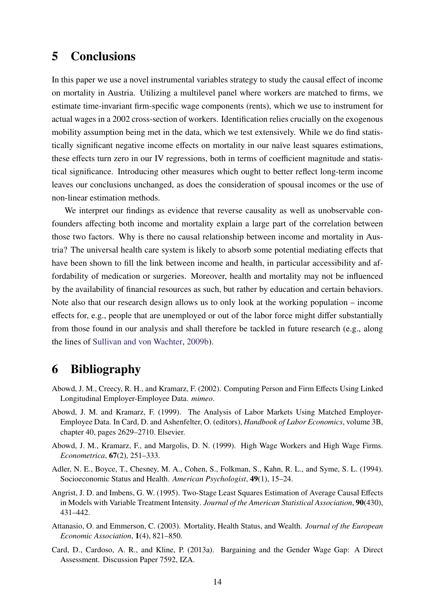### 5 Conclusions

In this paper we use a novel instrumental variables strategy to study the causal effect of income on mortality in Austria. Utilizing a multilevel panel where workers are matched to firms, we estimate time-invariant firm-specific wage components (rents), which we use to instrument for actual wages in a 2002 cross-section of workers. Identification relies crucially on the exogenous mobility assumption being met in the data, which we test extensively. While we do find statistically significant negative income effects on mortality in our naïve least squares estimations, these effects turn zero in our IV regressions, both in terms of coefficient magnitude and statistical significance. Introducing other measures which ought to better reflect long-term income leaves our conclusions unchanged, as does the consideration of spousal incomes or the use of non-linear estimation methods.

We interpret our findings as evidence that reverse causality as well as unobservable confounders affecting both income and mortality explain a large part of the correlation between those two factors. Why is there no causal relationship between income and mortality in Austria? The universal health care system is likely to absorb some potential mediating effects that have been shown to fill the link between income and health, in particular accessibility and affordability of medication or surgeries. Moreover, health and mortality may not be influenced by the availability of financial resources as such, but rather by education and certain behaviors. Note also that our research design allows us to only look at the working population – income effects for, e.g., people that are unemployed or out of the labor force might differ substantially from those found in our analysis and shall therefore be tackled in future research (e.g., along the lines of [Sullivan and von Wachter,](#page-17-16) [2009b\)](#page-17-16).

### 6 Bibliography

- <span id="page-15-3"></span>Abowd, J. M., Creecy, R. H., and Kramarz, F. (2002). Computing Person and Firm Effects Using Linked Longitudinal Employer-Employee Data. *mimeo*.
- <span id="page-15-5"></span>Abowd, J. M. and Kramarz, F. (1999). The Analysis of Labor Markets Using Matched Employer-Employee Data. In Card, D. and Ashenfelter, O. (editors), *Handbook of Labor Economics*, volume 3B, chapter 40, pages 2629–2710. Elsevier.
- <span id="page-15-0"></span>Abowd, J. M., Kramarz, F., and Margolis, D. N. (1999). High Wage Workers and High Wage Firms. *Econometrica*, 67(2), 251–333.
- <span id="page-15-1"></span>Adler, N. E., Boyce, T., Chesney, M. A., Cohen, S., Folkman, S., Kahn, R. L., and Syme, S. L. (1994). Socioeconomic Status and Health. *American Psychologist*, 49(1), 15–24.
- <span id="page-15-2"></span>Angrist, J. D. and Imbens, G. W. (1995). Two-Stage Least Squares Estimation of Average Causal Effects in Models with Variable Treatment Intensity. *Journal of the American Statistical Association*, 90(430), 431–442.
- <span id="page-15-6"></span>Attanasio, O. and Emmerson, C. (2003). Mortality, Health Status, and Wealth. *Journal of the European Economic Association*, 1(4), 821–850.
- <span id="page-15-4"></span>Card, D., Cardoso, A. R., and Kline, P. (2013a). Bargaining and the Gender Wage Gap: A Direct Assessment. Discussion Paper 7592, IZA.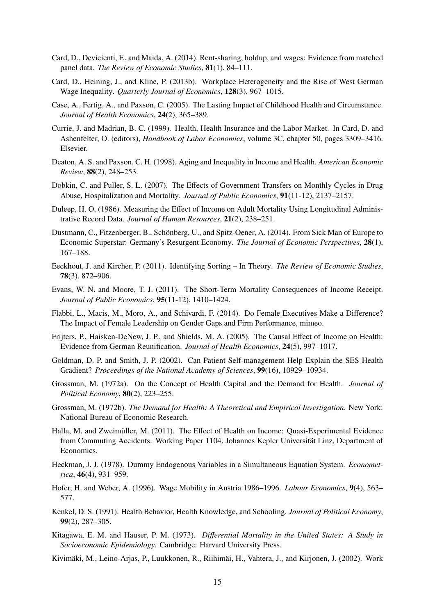- <span id="page-16-3"></span>Card, D., Devicienti, F., and Maida, A. (2014). Rent-sharing, holdup, and wages: Evidence from matched panel data. *The Review of Economic Studies*, 81(1), 84–111.
- <span id="page-16-2"></span>Card, D., Heining, J., and Kline, P. (2013b). Workplace Heterogeneity and the Rise of West German Wage Inequality. *Quarterly Journal of Economics*, 128(3), 967–1015.
- <span id="page-16-19"></span>Case, A., Fertig, A., and Paxson, C. (2005). The Lasting Impact of Childhood Health and Circumstance. *Journal of Health Economics*, 24(2), 365–389.
- <span id="page-16-0"></span>Currie, J. and Madrian, B. C. (1999). Health, Health Insurance and the Labor Market. In Card, D. and Ashenfelter, O. (editors), *Handbook of Labor Economics*, volume 3C, chapter 50, pages 3309–3416. Elsevier.
- <span id="page-16-13"></span>Deaton, A. S. and Paxson, C. H. (1998). Aging and Inequality in Income and Health. *American Economic Review*, 88(2), 248–253.
- <span id="page-16-9"></span>Dobkin, C. and Puller, S. L. (2007). The Effects of Government Transfers on Monthly Cycles in Drug Abuse, Hospitalization and Mortality. *Journal of Public Economics*, 91(11-12), 2137–2157.
- <span id="page-16-12"></span>Duleep, H. O. (1986). Measuring the Effect of Income on Adult Mortality Using Longitudinal Administrative Record Data. *Journal of Human Resources*, 21(2), 238–251.
- <span id="page-16-18"></span>Dustmann, C., Fitzenberger, B., Schönberg, U., and Spitz-Oener, A. (2014). From Sick Man of Europe to Economic Superstar: Germany's Resurgent Economy. *The Journal of Economic Perspectives*, 28(1), 167–188.
- <span id="page-16-15"></span>Eeckhout, J. and Kircher, P. (2011). Identifying Sorting – In Theory. *The Review of Economic Studies*, 78(3), 872–906.
- <span id="page-16-10"></span>Evans, W. N. and Moore, T. J. (2011). The Short-Term Mortality Consequences of Income Receipt. *Journal of Public Economics*, 95(11-12), 1410–1424.
- <span id="page-16-16"></span>Flabbi, L., Macis, M., Moro, A., and Schivardi, F. (2014). Do Female Executives Make a Difference? The Impact of Female Leadership on Gender Gaps and Firm Performance, mimeo.
- <span id="page-16-1"></span>Frijters, P., Haisken-DeNew, J. P., and Shields, M. A. (2005). The Causal Effect of Income on Health: Evidence from German Reunification. *Journal of Health Economics*, 24(5), 997–1017.
- <span id="page-16-7"></span>Goldman, D. P. and Smith, J. P. (2002). Can Patient Self-management Help Explain the SES Health Gradient? *Proceedings of the National Academy of Sciences*, 99(16), 10929–10934.
- <span id="page-16-4"></span>Grossman, M. (1972a). On the Concept of Health Capital and the Demand for Health. *Journal of Political Economy*, 80(2), 223–255.
- <span id="page-16-5"></span>Grossman, M. (1972b). *The Demand for Health: A Theoretical and Empirical Investigation*. New York: National Bureau of Economic Research.
- <span id="page-16-20"></span>Halla, M. and Zweimüller, M. (2011). The Effect of Health on Income: Quasi-Experimental Evidence from Commuting Accidents. Working Paper 1104, Johannes Kepler Universität Linz, Department of Economics.
- <span id="page-16-14"></span>Heckman, J. J. (1978). Dummy Endogenous Variables in a Simultaneous Equation System. *Econometrica*, 46(4), 931–959.
- <span id="page-16-17"></span>Hofer, H. and Weber, A. (1996). Wage Mobility in Austria 1986–1996. *Labour Economics*, 9(4), 563– 577.
- <span id="page-16-6"></span>Kenkel, D. S. (1991). Health Behavior, Health Knowledge, and Schooling. *Journal of Political Economy*, 99(2), 287–305.
- <span id="page-16-11"></span>Kitagawa, E. M. and Hauser, P. M. (1973). *Di*ff*erential Mortality in the United States: A Study in Socioeconomic Epidemiology*. Cambridge: Harvard University Press.
- <span id="page-16-8"></span>Kivimäki, M., Leino-Arjas, P., Luukkonen, R., Riihimäi, H., Vahtera, J., and Kirjonen, J. (2002). Work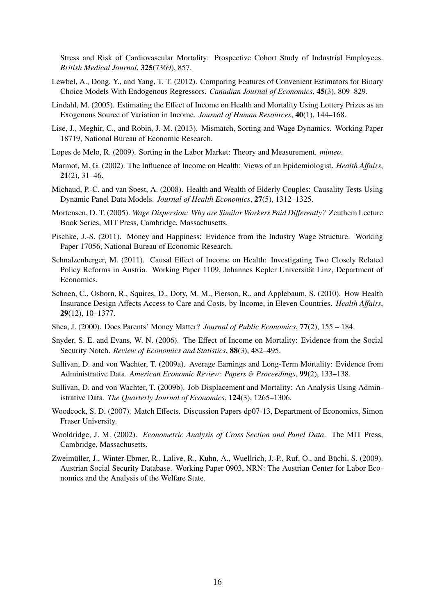Stress and Risk of Cardiovascular Mortality: Prospective Cohort Study of Industrial Employees. *British Medical Journal*, 325(7369), 857.

- <span id="page-17-8"></span>Lewbel, A., Dong, Y., and Yang, T. T. (2012). Comparing Features of Convenient Estimators for Binary Choice Models With Endogenous Regressors. *Canadian Journal of Economics*, 45(3), 809–829.
- <span id="page-17-2"></span>Lindahl, M. (2005). Estimating the Effect of Income on Health and Mortality Using Lottery Prizes as an Exogenous Source of Variation in Income. *Journal of Human Resources*, 40(1), 144–168.
- <span id="page-17-11"></span>Lise, J., Meghir, C., and Robin, J.-M. (2013). Mismatch, Sorting and Wage Dynamics. Working Paper 18719, National Bureau of Economic Research.
- <span id="page-17-12"></span>Lopes de Melo, R. (2009). Sorting in the Labor Market: Theory and Measurement. *mimeo*.
- <span id="page-17-1"></span>Marmot, M. G. (2002). The Influence of Income on Health: Views of an Epidemiologist. *Health A*ff*airs*, 21(2), 31–46.
- <span id="page-17-15"></span>Michaud, P.-C. and van Soest, A. (2008). Health and Wealth of Elderly Couples: Causality Tests Using Dynamic Panel Data Models. *Journal of Health Economics*, 27(5), 1312–1325.
- <span id="page-17-10"></span>Mortensen, D. T. (2005). *Wage Dispersion: Why are Similar Workers Paid Di*ff*erently?* Zeuthem Lecture Book Series, MIT Press, Cambridge, Massachusetts.
- <span id="page-17-6"></span>Pischke, J.-S. (2011). Money and Happiness: Evidence from the Industry Wage Structure. Working Paper 17056, National Bureau of Economic Research.
- <span id="page-17-3"></span>Schnalzenberger, M. (2011). Causal Effect of Income on Health: Investigating Two Closely Related Policy Reforms in Austria. Working Paper 1109, Johannes Kepler Universität Linz, Department of Economics.
- <span id="page-17-0"></span>Schoen, C., Osborn, R., Squires, D., Doty, M. M., Pierson, R., and Applebaum, S. (2010). How Health Insurance Design Affects Access to Care and Costs, by Income, in Eleven Countries. *Health A*ff*airs*, 29(12), 10–1377.
- <span id="page-17-5"></span>Shea, J. (2000). Does Parents' Money Matter? *Journal of Public Economics*, 77(2), 155 – 184.
- <span id="page-17-4"></span>Snyder, S. E. and Evans, W. N. (2006). The Effect of Income on Mortality: Evidence from the Social Security Notch. *Review of Economics and Statistics*, 88(3), 482–495.
- <span id="page-17-14"></span>Sullivan, D. and von Wachter, T. (2009a). Average Earnings and Long-Term Mortality: Evidence from Administrative Data. *American Economic Review: Papers* & *Proceedings*, 99(2), 133–138.
- <span id="page-17-16"></span>Sullivan, D. and von Wachter, T. (2009b). Job Displacement and Mortality: An Analysis Using Administrative Data. *The Quarterly Journal of Economics*, 124(3), 1265–1306.
- <span id="page-17-13"></span>Woodcock, S. D. (2007). Match Effects. Discussion Papers dp07-13, Department of Economics, Simon Fraser University.
- <span id="page-17-9"></span>Wooldridge, J. M. (2002). *Econometric Analysis of Cross Section and Panel Data*. The MIT Press, Cambridge, Massachusetts.
- <span id="page-17-7"></span>Zweimüller, J., Winter-Ebmer, R., Lalive, R., Kuhn, A., Wuellrich, J.-P., Ruf, O., and Büchi, S. (2009). Austrian Social Security Database. Working Paper 0903, NRN: The Austrian Center for Labor Economics and the Analysis of the Welfare State.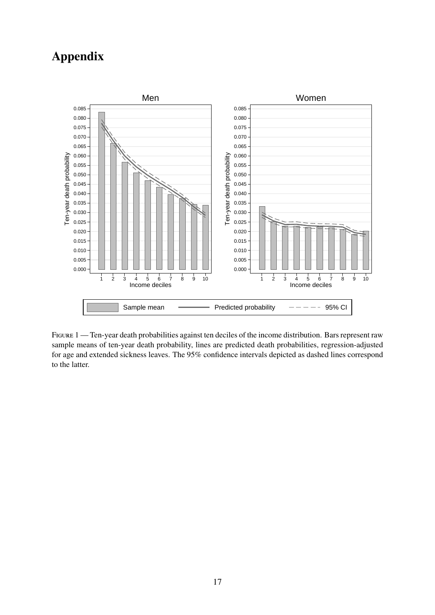## Appendix

<span id="page-18-0"></span>

FIGURE 1 — Ten-year death probabilities against ten deciles of the income distribution. Bars represent raw sample means of ten-year death probability, lines are predicted death probabilities, regression-adjusted for age and extended sickness leaves. The 95% confidence intervals depicted as dashed lines correspond to the latter.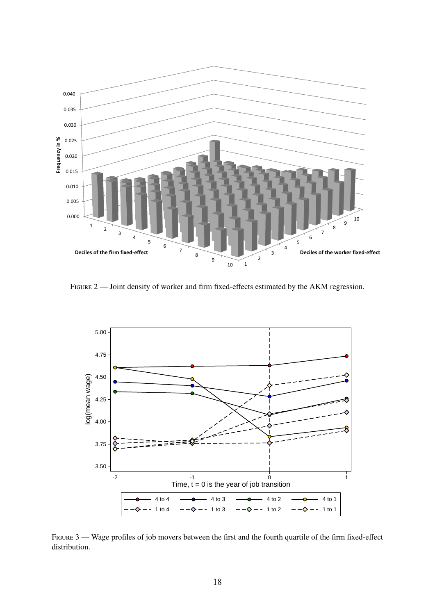<span id="page-19-0"></span>

FIGURE 2 — Joint density of worker and firm fixed-effects estimated by the AKM regression.

<span id="page-19-1"></span>

Figure 3 — Wage profiles of job movers between the first and the fourth quartile of the firm fixed-effect distribution.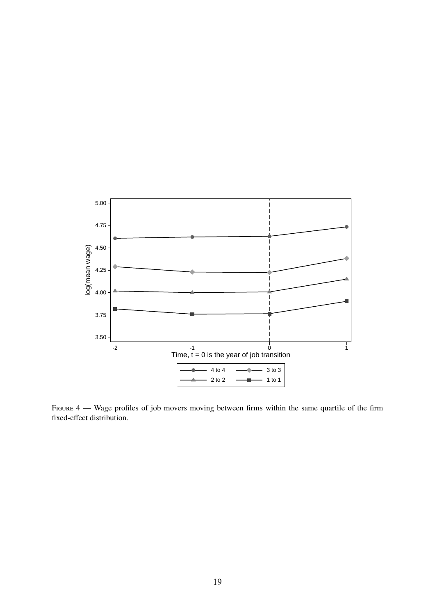<span id="page-20-0"></span>

FIGURE 4 — Wage profiles of job movers moving between firms within the same quartile of the firm fixed-effect distribution.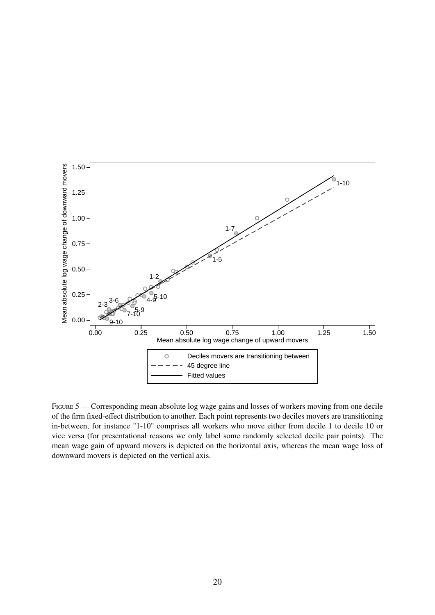<span id="page-21-0"></span>

FIGURE 5 — Corresponding mean absolute log wage gains and losses of workers moving from one decile of the firm fixed-effect distribution to another. Each point represents two deciles movers are transitioning in-between, for instance "1-10" comprises all workers who move either from decile 1 to decile 10 or vice versa (for presentational reasons we only label some randomly selected decile pair points). The mean wage gain of upward movers is depicted on the horizontal axis, whereas the mean wage loss of downward movers is depicted on the vertical axis.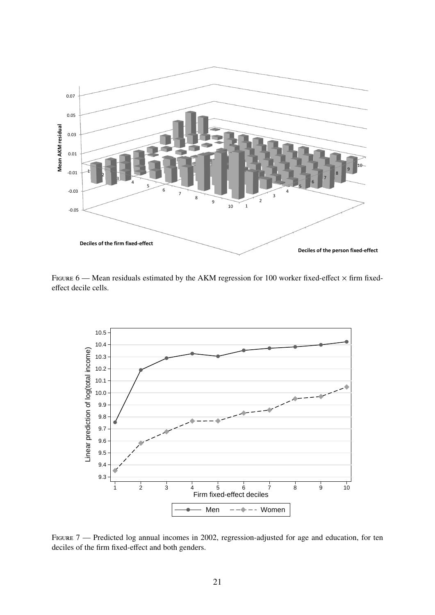<span id="page-22-1"></span>

FIGURE  $6$  — Mean residuals estimated by the AKM regression for 100 worker fixed-effect  $\times$  firm fixedeffect decile cells.

<span id="page-22-0"></span>

FIGURE 7 — Predicted log annual incomes in 2002, regression-adjusted for age and education, for ten deciles of the firm fixed-effect and both genders.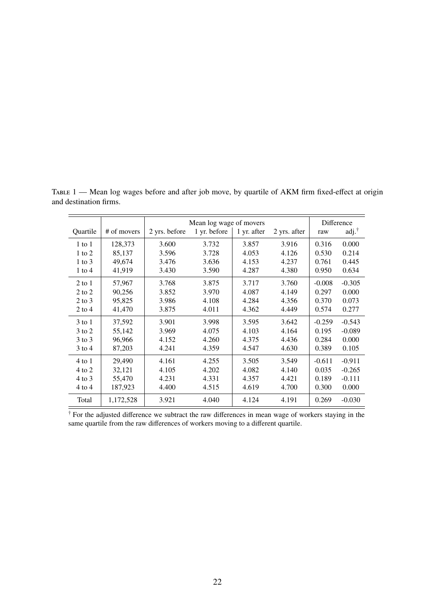<span id="page-23-0"></span>

|                   |             | Mean log wage of movers |              | Difference  |              |          |                         |
|-------------------|-------------|-------------------------|--------------|-------------|--------------|----------|-------------------------|
| Quartile          | # of movers | 2 yrs. before           | 1 yr. before | 1 yr. after | 2 yrs. after | raw      | $\text{adj.}^{\dagger}$ |
| $1$ to $1$        | 128,373     | 3.600                   | 3.732        | 3.857       | 3.916        | 0.316    | 0.000                   |
| $1$ to $2$        | 85,137      | 3.596                   | 3.728        | 4.053       | 4.126        | 0.530    | 0.214                   |
| $1$ to $3$        | 49,674      | 3.476                   | 3.636        | 4.153       | 4.237        | 0.761    | 0.445                   |
| $1$ to $4$        | 41,919      | 3.430                   | 3.590        | 4.287       | 4.380        | 0.950    | 0.634                   |
| $2$ to $1$        | 57,967      | 3.768                   | 3.875        | 3.717       | 3.760        | $-0.008$ | $-0.305$                |
| $2$ to $2$        | 90,256      | 3.852                   | 3.970        | 4.087       | 4.149        | 0.297    | 0.000                   |
| $2$ to $3$        | 95,825      | 3.986                   | 4.108        | 4.284       | 4.356        | 0.370    | 0.073                   |
| 2 to 4            | 41,470      | 3.875                   | 4.011        | 4.362       | 4.449        | 0.574    | 0.277                   |
| $3$ to $1$        | 37,592      | 3.901                   | 3.998        | 3.595       | 3.642        | $-0.259$ | $-0.543$                |
| $3 \text{ to } 2$ | 55,142      | 3.969                   | 4.075        | 4.103       | 4.164        | 0.195    | $-0.089$                |
| $3$ to $3$        | 96,966      | 4.152                   | 4.260        | 4.375       | 4.436        | 0.284    | 0.000                   |
| $3$ to 4          | 87,203      | 4.241                   | 4.359        | 4.547       | 4.630        | 0.389    | 0.105                   |
| $4$ to $1$        | 29,490      | 4.161                   | 4.255        | 3.505       | 3.549        | $-0.611$ | $-0.911$                |
| 4 to 2            | 32,121      | 4.105                   | 4.202        | 4.082       | 4.140        | 0.035    | $-0.265$                |
| 4 to 3            | 55,470      | 4.231                   | 4.331        | 4.357       | 4.421        | 0.189    | $-0.111$                |
| $4$ to $4$        | 187,923     | 4.400                   | 4.515        | 4.619       | 4.700        | 0.300    | 0.000                   |
| Total             | 1,172,528   | 3.921                   | 4.040        | 4.124       | 4.191        | 0.269    | $-0.030$                |

TABLE 1 — Mean log wages before and after job move, by quartile of AKM firm fixed-effect at origin and destination firms.

<sup>†</sup> For the adjusted difference we subtract the raw differences in mean wage of workers staying in the same quartile from the raw differences of workers moving to a different quartile.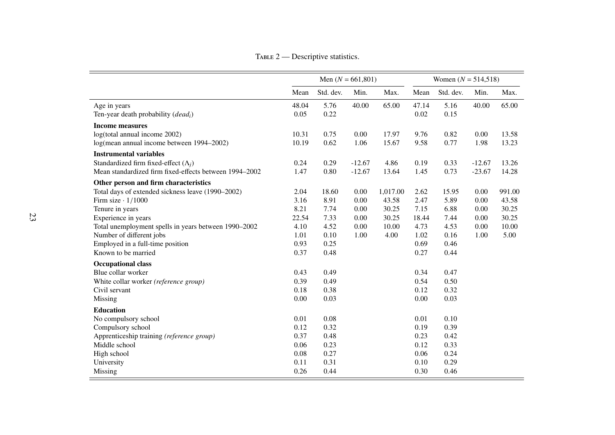<span id="page-24-0"></span>

|                                                        | Men $(N = 661,801)$ |           |          | Women $(N = 514, 518)$ |       |           |          |        |
|--------------------------------------------------------|---------------------|-----------|----------|------------------------|-------|-----------|----------|--------|
|                                                        | Mean                | Std. dev. | Min.     | Max.                   | Mean  | Std. dev. | Min.     | Max.   |
| Age in years                                           | 48.04               | 5.76      | 40.00    | 65.00                  | 47.14 | 5.16      | 40.00    | 65.00  |
| Ten-year death probability $(deadi)$                   | 0.05                | 0.22      |          |                        | 0.02  | 0.15      |          |        |
| <b>Income measures</b>                                 |                     |           |          |                        |       |           |          |        |
| log(total annual income 2002)                          | 10.31               | 0.75      | $0.00\,$ | 17.97                  | 9.76  | 0.82      | 0.00     | 13.58  |
| log(mean annual income between 1994–2002)              | 10.19               | 0.62      | 1.06     | 15.67                  | 9.58  | 0.77      | 1.98     | 13.23  |
| <b>Instrumental variables</b>                          |                     |           |          |                        |       |           |          |        |
| Standardized firm fixed-effect $(\Lambda_i)$           | 0.24                | 0.29      | $-12.67$ | 4.86                   | 0.19  | 0.33      | $-12.67$ | 13.26  |
| Mean standardized firm fixed-effects between 1994-2002 | 1.47                | 0.80      | $-12.67$ | 13.64                  | 1.45  | 0.73      | $-23.67$ | 14.28  |
| Other person and firm characteristics                  |                     |           |          |                        |       |           |          |        |
| Total days of extended sickness leave (1990-2002)      | 2.04                | 18.60     | 0.00     | 1,017.00               | 2.62  | 15.95     | 0.00     | 991.00 |
| Firm size $\cdot$ 1/1000                               | 3.16                | 8.91      | 0.00     | 43.58                  | 2.47  | 5.89      | 0.00     | 43.58  |
| Tenure in years                                        | 8.21                | 7.74      | 0.00     | 30.25                  | 7.15  | 6.88      | 0.00     | 30.25  |
| Experience in years                                    | 22.54               | 7.33      | 0.00     | 30.25                  | 18.44 | 7.44      | 0.00     | 30.25  |
| Total unemployment spells in years between 1990-2002   | 4.10                | 4.52      | 0.00     | 10.00                  | 4.73  | 4.53      | 0.00     | 10.00  |
| Number of different jobs                               | 1.01                | 0.10      | 1.00     | 4.00                   | 1.02  | 0.16      | 1.00     | 5.00   |
| Employed in a full-time position                       | 0.93                | 0.25      |          |                        | 0.69  | 0.46      |          |        |
| Known to be married                                    | 0.37                | 0.48      |          |                        | 0.27  | 0.44      |          |        |
| <b>Occupational class</b>                              |                     |           |          |                        |       |           |          |        |
| Blue collar worker                                     | 0.43                | 0.49      |          |                        | 0.34  | 0.47      |          |        |
| White collar worker (reference group)                  | 0.39                | 0.49      |          |                        | 0.54  | 0.50      |          |        |
| Civil servant                                          | 0.18                | 0.38      |          |                        | 0.12  | 0.32      |          |        |
| Missing                                                | 0.00                | 0.03      |          |                        | 0.00  | 0.03      |          |        |
| <b>Education</b>                                       |                     |           |          |                        |       |           |          |        |
| No compulsory school                                   | 0.01                | 0.08      |          |                        | 0.01  | 0.10      |          |        |
| Compulsory school                                      | 0.12                | 0.32      |          |                        | 0.19  | 0.39      |          |        |
| Apprenticeship training (reference group)              | 0.37                | 0.48      |          |                        | 0.23  | 0.42      |          |        |
| Middle school                                          | 0.06                | 0.23      |          |                        | 0.12  | 0.33      |          |        |
| High school                                            | 0.08                | 0.27      |          |                        | 0.06  | 0.24      |          |        |
| University                                             | 0.11                | 0.31      |          |                        | 0.10  | 0.29      |          |        |
| Missing                                                | 0.26                | 0.44      |          |                        | 0.30  | 0.46      |          |        |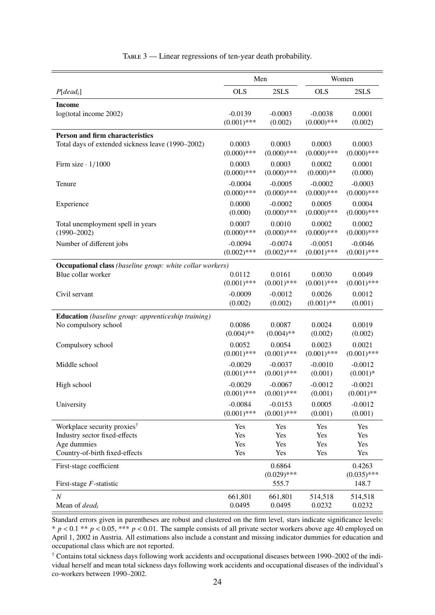<span id="page-25-0"></span>

|                                                                  |               | Men                     |               | Women                   |  |  |  |  |  |
|------------------------------------------------------------------|---------------|-------------------------|---------------|-------------------------|--|--|--|--|--|
| $P[dead_i]$                                                      | <b>OLS</b>    | 2SLS                    | <b>OLS</b>    | 2SLS                    |  |  |  |  |  |
| <b>Income</b><br>log(total income 2002)                          | $-0.0139$     | $-0.0003$               | $-0.0038$     | 0.0001                  |  |  |  |  |  |
|                                                                  | $(0.001)$ *** | (0.002)                 | $(0.000)$ *** | (0.002)                 |  |  |  |  |  |
| Person and firm characteristics                                  |               |                         |               |                         |  |  |  |  |  |
| Total days of extended sickness leave (1990-2002)                | 0.0003        | 0.0003                  | 0.0003        | 0.0003                  |  |  |  |  |  |
|                                                                  | $(0.000)$ *** | $(0.000)$ ***           | $(0.000)$ *** | $(0.000)$ ***           |  |  |  |  |  |
| Firm size $\cdot$ 1/1000                                         | 0.0003        | 0.0003                  | 0.0002        | 0.0001                  |  |  |  |  |  |
|                                                                  | $(0.000)$ *** | $(0.000)$ ***           | $(0.000)**$   | (0.000)                 |  |  |  |  |  |
| Tenure                                                           | $-0.0004$     | $-0.0005$               | $-0.0002$     | $-0.0003$               |  |  |  |  |  |
|                                                                  | $(0.000)$ *** | $(0.000)$ ***           | $(0.000)$ *** | $(0.000)$ ***           |  |  |  |  |  |
| Experience                                                       | 0.0000        | $-0.0002$               | 0.0005        | 0.0004                  |  |  |  |  |  |
|                                                                  | (0.000)       | $(0.000)$ ***           | $(0.000)$ *** | $(0.000)$ ***           |  |  |  |  |  |
| Total unemployment spell in years                                | 0.0007        | 0.0010                  | 0.0002        | 0.0002                  |  |  |  |  |  |
| $(1990 - 2002)$                                                  | $(0.000)$ *** | $(0.000)$ ***           | $(0.000)$ *** | $(0.000)$ ***           |  |  |  |  |  |
| Number of different jobs                                         | $-0.0094$     | $-0.0074$               | $-0.0051$     | $-0.0046$               |  |  |  |  |  |
|                                                                  | $(0.002)$ *** | $(0.002)$ ***           | $(0.001)$ *** | $(0.001)$ ***           |  |  |  |  |  |
| <b>Occupational class</b> (baseline group: white collar workers) |               |                         |               |                         |  |  |  |  |  |
| Blue collar worker                                               | 0.0112        | 0.0161                  | 0.0030        | 0.0049                  |  |  |  |  |  |
|                                                                  | $(0.001)$ *** | $(0.001)$ ***           | $(0.001)$ *** | $(0.001)$ ***           |  |  |  |  |  |
| Civil servant                                                    | $-0.0009$     | $-0.0012$               | 0.0026        | 0.0012                  |  |  |  |  |  |
|                                                                  | (0.002)       | (0.002)                 | $(0.001)$ **  | (0.001)                 |  |  |  |  |  |
| <b>Education</b> (baseline group: apprenticeship training)       |               |                         |               |                         |  |  |  |  |  |
| No compulsory school                                             | 0.0086        | 0.0087                  | 0.0024        | 0.0019                  |  |  |  |  |  |
|                                                                  | $(0.004)$ **  | $(0.004)$ **            | (0.002)       | (0.002)                 |  |  |  |  |  |
| Compulsory school                                                | 0.0052        | 0.0054                  | 0.0023        | 0.0021                  |  |  |  |  |  |
|                                                                  | $(0.001)$ *** | $(0.001)$ ***           | $(0.001)$ *** | $(0.001)$ ***           |  |  |  |  |  |
| Middle school                                                    | $-0.0029$     | $-0.0037$               | $-0.0010$     | $-0.0012$               |  |  |  |  |  |
|                                                                  | $(0.001)$ *** | $(0.001)$ ***           | (0.001)       | $(0.001)*$              |  |  |  |  |  |
| High school                                                      | $-0.0029$     | $-0.0067$               | $-0.0012$     | $-0.0021$               |  |  |  |  |  |
|                                                                  | $(0.001)$ *** | $(0.001)$ ***           | (0.001)       | $(0.001)$ **            |  |  |  |  |  |
| University                                                       | $-0.0084$     | $-0.0153$               | 0.0005        | $-0.0012$               |  |  |  |  |  |
|                                                                  | $(0.001)$ *** | $(0.001)$ ***           | (0.001)       | (0.001)                 |  |  |  |  |  |
| Workplace security proxies <sup>†</sup>                          | Yes           | Yes                     | Yes           | Yes                     |  |  |  |  |  |
| Industry sector fixed-effects                                    | Yes           | Yes                     | Yes           | Yes                     |  |  |  |  |  |
| Age dummies                                                      | Yes           | Yes                     | Yes           | Yes                     |  |  |  |  |  |
| Country-of-birth fixed-effects                                   | Yes           | Yes                     | Yes           | Yes                     |  |  |  |  |  |
| First-stage coefficient                                          |               | 0.6864<br>$(0.029)$ *** |               | 0.4263<br>$(0.035)$ *** |  |  |  |  |  |
| First-stage $F$ -statistic                                       |               | 555.7                   |               | 148.7                   |  |  |  |  |  |
| $\boldsymbol{N}$                                                 | 661,801       | 661,801                 | 514,518       | 514,518                 |  |  |  |  |  |
| Mean of <i>dead<sub>i</sub></i>                                  | 0.0495        | 0.0495                  | 0.0232        | 0.0232                  |  |  |  |  |  |

TABLE 3 — Linear regressions of ten-year death probability.

Standard errors given in parentheses are robust and clustered on the firm level, stars indicate significance levels:  $* p < 0.1 ** p < 0.05, **p < 0.01$ . The sample consists of all private sector workers above age 40 employed on April 1, 2002 in Austria. All estimations also include a constant and missing indicator dummies for education and occupational class which are not reported.

† Contains total sickness days following work accidents and occupational diseases between 1990–2002 of the individual herself and mean total sickness days following work accidents and occupational diseases of the individual's co-workers between 1990–2002.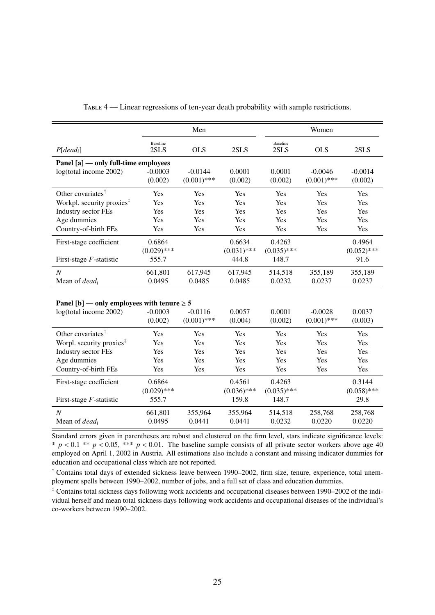<span id="page-26-0"></span>

|                                                 |                         | Men           |               |                  | Women         |               |
|-------------------------------------------------|-------------------------|---------------|---------------|------------------|---------------|---------------|
| $P[dead_i]$                                     | <b>Baseline</b><br>2SLS | <b>OLS</b>    | 2SLS          | Baseline<br>2SLS | <b>OLS</b>    | 2SLS          |
| Panel [a] — only full-time employees            |                         |               |               |                  |               |               |
| log(total income 2002)                          | $-0.0003$               | $-0.0144$     | 0.0001        | 0.0001           | $-0.0046$     | $-0.0014$     |
|                                                 | (0.002)                 | $(0.001)$ *** | (0.002)       | (0.002)          | $(0.001)$ *** | (0.002)       |
| Other covariates <sup>†</sup>                   | Yes                     | Yes           | Yes           | Yes              | Yes           | Yes           |
| Workpl. security proxies <sup>‡</sup>           | Yes                     | Yes           | Yes           | Yes              | Yes           | Yes           |
| Industry sector FEs                             | Yes                     | Yes           | Yes           | Yes              | Yes           | Yes           |
| Age dummies                                     | Yes                     | Yes           | Yes           | Yes              | Yes           | Yes           |
| Country-of-birth FEs                            | Yes                     | Yes           | Yes           | Yes              | Yes           | Yes           |
| First-stage coefficient                         | 0.6864                  |               | 0.6634        | 0.4263           |               | 0.4964        |
|                                                 | $(0.029)$ ***           |               | $(0.031)$ *** | $(0.035)$ ***    |               | $(0.052)$ *** |
| First-stage $F$ -statistic                      | 555.7                   |               | 444.8         | 148.7            |               | 91.6          |
| $\overline{N}$                                  | 661,801                 | 617,945       | 617,945       | 514,518          | 355,189       | 355,189       |
| Mean of <i>dead<sub>i</sub></i>                 | 0.0495                  | 0.0485        | 0.0485        | 0.0232           | 0.0237        | 0.0237        |
|                                                 |                         |               |               |                  |               |               |
| Panel [b] — only employees with tenure $\geq 5$ |                         |               |               |                  |               |               |
| log(total income 2002)                          | $-0.0003$               | $-0.0116$     | 0.0057        | 0.0001           | $-0.0028$     | 0.0037        |
|                                                 | (0.002)                 | $(0.001)$ *** | (0.004)       | (0.002)          | $(0.001)$ *** | (0.003)       |
| Other covariates <sup>†</sup>                   | Yes                     | Yes           | Yes           | Yes              | Yes           | Yes           |
| Worpl. security proxies $\ddot{\ }$             | Yes                     | Yes           | Yes           | Yes              | Yes           | Yes           |
| Industry sector FEs                             | Yes                     | Yes           | Yes           | Yes              | Yes           | Yes           |
| Age dummies                                     | Yes                     | Yes           | Yes           | Yes              | Yes           | Yes           |
| Country-of-birth FEs                            | Yes                     | Yes           | Yes           | Yes              | Yes           | Yes           |

TABLE 4 — Linear regressions of ten-year death probability with sample restrictions.

First-stage coefficient  $0.6864$   $0.4561$   $0.4263$   $0.3144$   $(0.036)***$   $(0.035)***$   $(0.035)***$   $(0.036)***$  $(0.036)$ \*\*\* First-stage *F*-statistic 555.7 159.8 148.7 29.8 *N* 661,801 355,964 355,964 514,518 258,768 258,768 Mean of *dead<sup>i</sup>* 0.0495 0.0441 0.0441 0.0232 0.0220 0.0220

Standard errors given in parentheses are robust and clustered on the firm level, stars indicate significance levels:  $* p < 0.1 ** p < 0.05$ ,  $** p < 0.01$ . The baseline sample consists of all private sector workers above age 40 employed on April 1, 2002 in Austria. All estimations also include a constant and missing indicator dummies for education and occupational class which are not reported.

† Contains total days of extended sickness leave between 1990–2002, firm size, tenure, experience, total unemployment spells between 1990–2002, number of jobs, and a full set of class and education dummies.

‡ Contains total sickness days following work accidents and occupational diseases between 1990–2002 of the individual herself and mean total sickness days following work accidents and occupational diseases of the individual's co-workers between 1990–2002.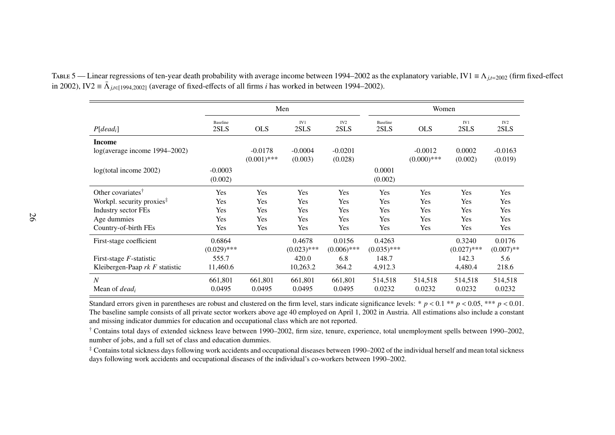|                                       |                         | Men                        |                      |                         |                   | Women                      |                   |                         |  |  |
|---------------------------------------|-------------------------|----------------------------|----------------------|-------------------------|-------------------|----------------------------|-------------------|-------------------------|--|--|
| $P[dead_i]$                           | <b>Baseline</b><br>2SLS | <b>OLS</b>                 | IV1<br>2SLS          | IV <sub>2</sub><br>2SLS | Baseline<br>2SLS  | <b>OLS</b>                 | IV1<br>2SLS       | IV <sub>2</sub><br>2SLS |  |  |
| Income                                |                         |                            |                      |                         |                   |                            |                   |                         |  |  |
| log(average income 1994-2002)         |                         | $-0.0178$<br>$(0.001)$ *** | $-0.0004$<br>(0.003) | $-0.0201$<br>(0.028)    |                   | $-0.0012$<br>$(0.000)$ *** | 0.0002<br>(0.002) | $-0.0163$<br>(0.019)    |  |  |
| log(total income 2002)                | $-0.0003$<br>(0.002)    |                            |                      |                         | 0.0001<br>(0.002) |                            |                   |                         |  |  |
| Other covariates <sup>†</sup>         | Yes                     | Yes                        | Yes                  | Yes                     | Yes               | Yes                        | Yes               | Yes                     |  |  |
| Workpl. security proxies <sup>#</sup> | Yes                     | Yes                        | Yes                  | Yes                     | Yes               | Yes                        | Yes               | Yes                     |  |  |
| Industry sector FEs                   | Yes                     | Yes                        | Yes                  | Yes                     | Yes               | Yes                        | Yes               | Yes                     |  |  |
| Age dummies                           | Yes                     | Yes                        | Yes                  | Yes                     | Yes               | Yes                        | Yes               | Yes                     |  |  |
| Country-of-birth FEs                  | Yes                     | Yes                        | Yes                  | Yes                     | Yes               | Yes                        | Yes               | Yes                     |  |  |
| First-stage coefficient               | 0.6864                  |                            | 0.4678               | 0.0156                  | 0.4263            |                            | 0.3240            | 0.0176                  |  |  |
|                                       | $(0.029)$ ***           |                            | $(0.023)$ ***        | $(0.006)$ ***           | $(0.035)$ ***     |                            | $(0.027)$ ***     | $(0.007)$ **            |  |  |
| First-stage $F$ -statistic            | 555.7                   |                            | 420.0                | 6.8                     | 148.7             |                            | 142.3             | 5.6                     |  |  |
| Kleibergen-Paap $rk F$ statistic      | 11,460.6                |                            | 10,263.2             | 364.2                   | 4,912.3           |                            | 4,480.4           | 218.6                   |  |  |
| N                                     | 661,801                 | 661,801                    | 661,801              | 661,801                 | 514,518           | 514,518                    | 514,518           | 514,518                 |  |  |
| Mean of <i>dead<sub>i</sub></i>       | 0.0495                  | 0.0495                     | 0.0495               | 0.0495                  | 0.0232            | 0.0232                     | 0.0232            | 0.0232                  |  |  |

Table <sup>5</sup> — Linear regressions of ten-year death probability with average income between 1994–2002 as the explanatory variable, IV1 <sup>≡</sup> <sup>Λ</sup>*j*,*t*=<sup>2002</sup> (firm fixed-effect in 2002), IV2  $\equiv \bar{\Lambda}_{j,t\in [1994,2002]}$  (average of fixed-effects of all firms *i* has worked in between 1994–2002).

Standard errors given in parentheses are robust and clustered on the firm level, stars indicate significance levels: \*  $p < 0.1$  \*\*  $p < 0.05$ , \*\*\*  $p < 0.01$ . The baseline sample consists of all private sector workers above age 40 employed on April 1, 2002 in Austria. All estimations also include <sup>a</sup> constantand missing indicator dummies for education and occupational class which are not reported.

<sup>†</sup> Contains total days of extended sickness leave between 1990–2002, firm size, tenure, experience, total unemployment spells between 1990–2002, number of jobs, and <sup>a</sup> full set of class and education dummies.

‡ Contains total sickness days following work accidents and occupational diseases between 1990–2002 of the individual herself and mean total sicknessdays following work accidents and occupational diseases of the individual's co-workers between 1990–2002.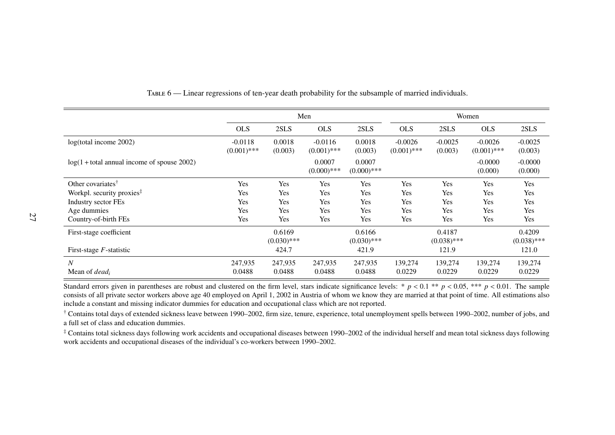|                                               | Men                        |                         |                            |                         | Women                      |                         |                            |                         |
|-----------------------------------------------|----------------------------|-------------------------|----------------------------|-------------------------|----------------------------|-------------------------|----------------------------|-------------------------|
|                                               | <b>OLS</b>                 | 2SLS                    | <b>OLS</b>                 | 2SLS                    | <b>OLS</b>                 | 2SLS                    | <b>OLS</b>                 | 2SLS                    |
| log(total income 2002)                        | $-0.0118$<br>$(0.001)$ *** | 0.0018<br>(0.003)       | $-0.0116$<br>$(0.001)$ *** | 0.0018<br>(0.003)       | $-0.0026$<br>$(0.001)$ *** | $-0.0025$<br>(0.003)    | $-0.0026$<br>$(0.001)$ *** | $-0.0025$<br>(0.003)    |
| $log(1 + total$ annual income of spouse 2002) |                            |                         | 0.0007<br>$(0.000)$ ***    | 0.0007<br>$(0.000)$ *** |                            |                         | $-0.0000$<br>(0.000)       | $-0.0000$<br>(0.000)    |
| Other covariates <sup>†</sup>                 | Yes                        | Yes                     | Yes                        | Yes                     | Yes                        | Yes                     | Yes                        | Yes                     |
| Workpl. security proxies <sup>#</sup>         | Yes                        | Yes                     | <b>Yes</b>                 | Yes                     | Yes                        | Yes                     | Yes                        | Yes                     |
| <b>Industry sector FEs</b>                    | Yes                        | Yes                     | Yes                        | Yes                     | Yes                        | Yes                     | Yes                        | Yes                     |
| Age dummies                                   | Yes                        | Yes                     | Yes                        | Yes                     | <b>Yes</b>                 | Yes                     | Yes                        | Yes                     |
| Country-of-birth FEs                          | Yes                        | Yes                     | Yes                        | Yes                     | Yes                        | Yes                     | Yes                        | Yes                     |
| First-stage coefficient                       |                            | 0.6169<br>$(0.030)$ *** |                            | 0.6166<br>$(0.030)$ *** |                            | 0.4187<br>$(0.038)$ *** |                            | 0.4209<br>$(0.038)$ *** |
| First-stage $F$ -statistic                    |                            | 424.7                   |                            | 421.9                   |                            | 121.9                   |                            | 121.0                   |
| $\boldsymbol{N}$                              | 247,935                    | 247,935                 | 247,935                    | 247,935                 | 139,274                    | 139,274                 | 139,274                    | 139,274                 |
| Mean of $dead_i$                              | 0.0488                     | 0.0488                  | 0.0488                     | 0.0488                  | 0.0229                     | 0.0229                  | 0.0229                     | 0.0229                  |

Table <sup>6</sup> — Linear regressions of ten-year death probability for the subsample of married individuals.

Standard errors given in parentheses are robust and clustered on the firm level, stars indicate significance levels: \*  $p < 0.1$  \*\*  $p < 0.05$ , \*\*\*  $p < 0.01$ . The sample consists of all private sector workers above age 40 employed on April 1, 2002 in Austria of whom we know they are married at that point of time. All estimations alsoinclude <sup>a</sup> constant and missing indicator dummies for education and occupational class which are not reported.

† Contains total days of extended sickness leave between 1990–2002, firm size, tenure, experience, total unemployment spells between 1990–2002, number of jobs, and<sup>a</sup> full set of class and education dummies.

<span id="page-28-0"></span>‡ Contains total sickness days following work accidents and occupational diseases between 1990–2002 of the individual herself and mean total sickness days followingwork accidents and occupational diseases of the individual's co-workers between 1990–2002.